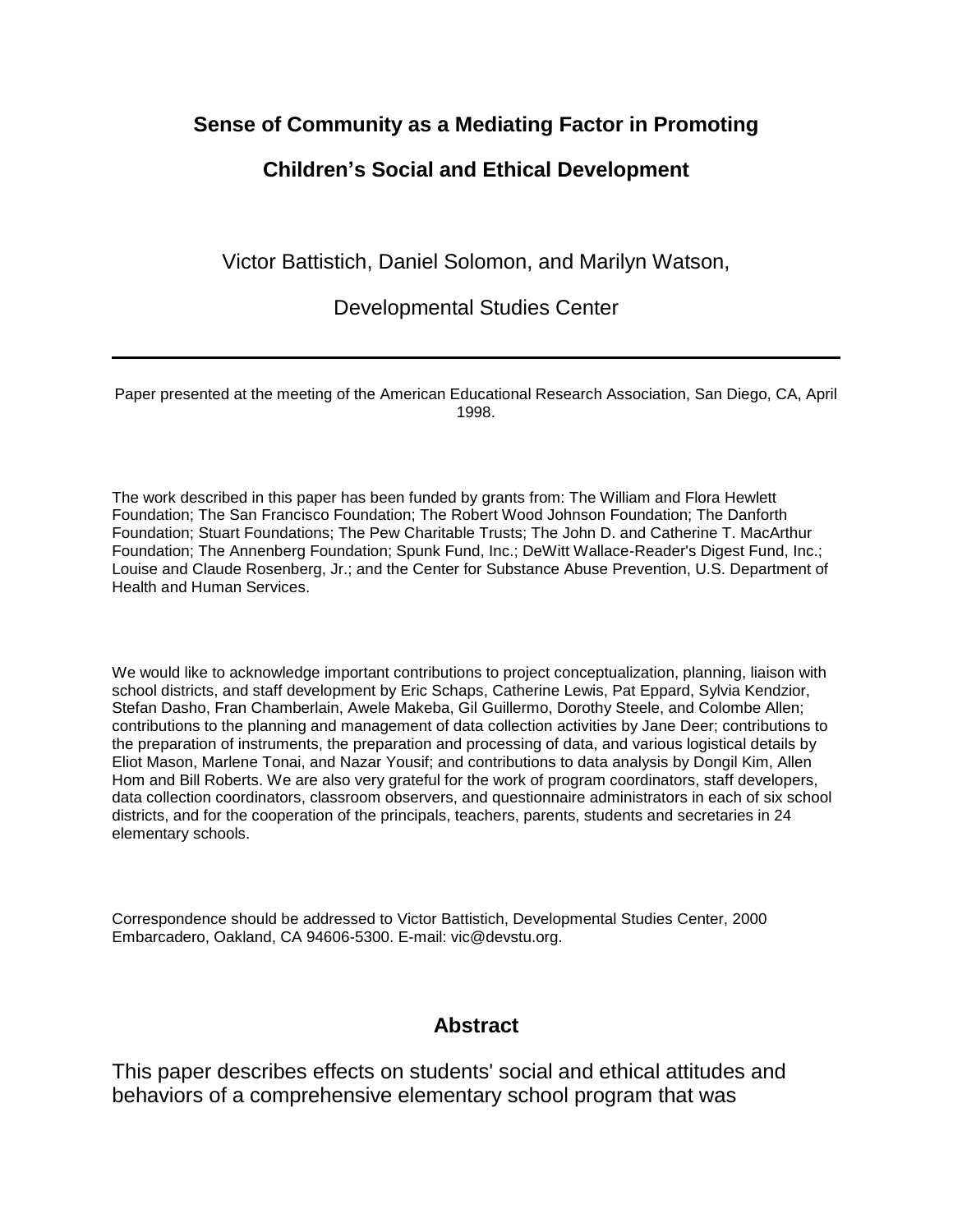#### **Sense of Community as a Mediating Factor in Promoting**

## **Children's Social and Ethical Development**

Victor Battistich, Daniel Solomon, and Marilyn Watson,

Developmental Studies Center

Paper presented at the meeting of the American Educational Research Association, San Diego, CA, April 1998.

The work described in this paper has been funded by grants from: The William and Flora Hewlett Foundation; The San Francisco Foundation; The Robert Wood Johnson Foundation; The Danforth Foundation; Stuart Foundations; The Pew Charitable Trusts; The John D. and Catherine T. MacArthur Foundation; The Annenberg Foundation; Spunk Fund, Inc.; DeWitt Wallace-Reader's Digest Fund, Inc.; Louise and Claude Rosenberg, Jr.; and the Center for Substance Abuse Prevention, U.S. Department of Health and Human Services.

We would like to acknowledge important contributions to project conceptualization, planning, liaison with school districts, and staff development by Eric Schaps, Catherine Lewis, Pat Eppard, Sylvia Kendzior, Stefan Dasho, Fran Chamberlain, Awele Makeba, Gil Guillermo, Dorothy Steele, and Colombe Allen; contributions to the planning and management of data collection activities by Jane Deer; contributions to the preparation of instruments, the preparation and processing of data, and various logistical details by Eliot Mason, Marlene Tonai, and Nazar Yousif; and contributions to data analysis by Dongil Kim, Allen Hom and Bill Roberts. We are also very grateful for the work of program coordinators, staff developers, data collection coordinators, classroom observers, and questionnaire administrators in each of six school districts, and for the cooperation of the principals, teachers, parents, students and secretaries in 24 elementary schools.

Correspondence should be addressed to Victor Battistich, Developmental Studies Center, 2000 Embarcadero, Oakland, CA 94606-5300. E-mail: vic@devstu.org.

### **Abstract**

This paper describes effects on students' social and ethical attitudes and behaviors of a comprehensive elementary school program that was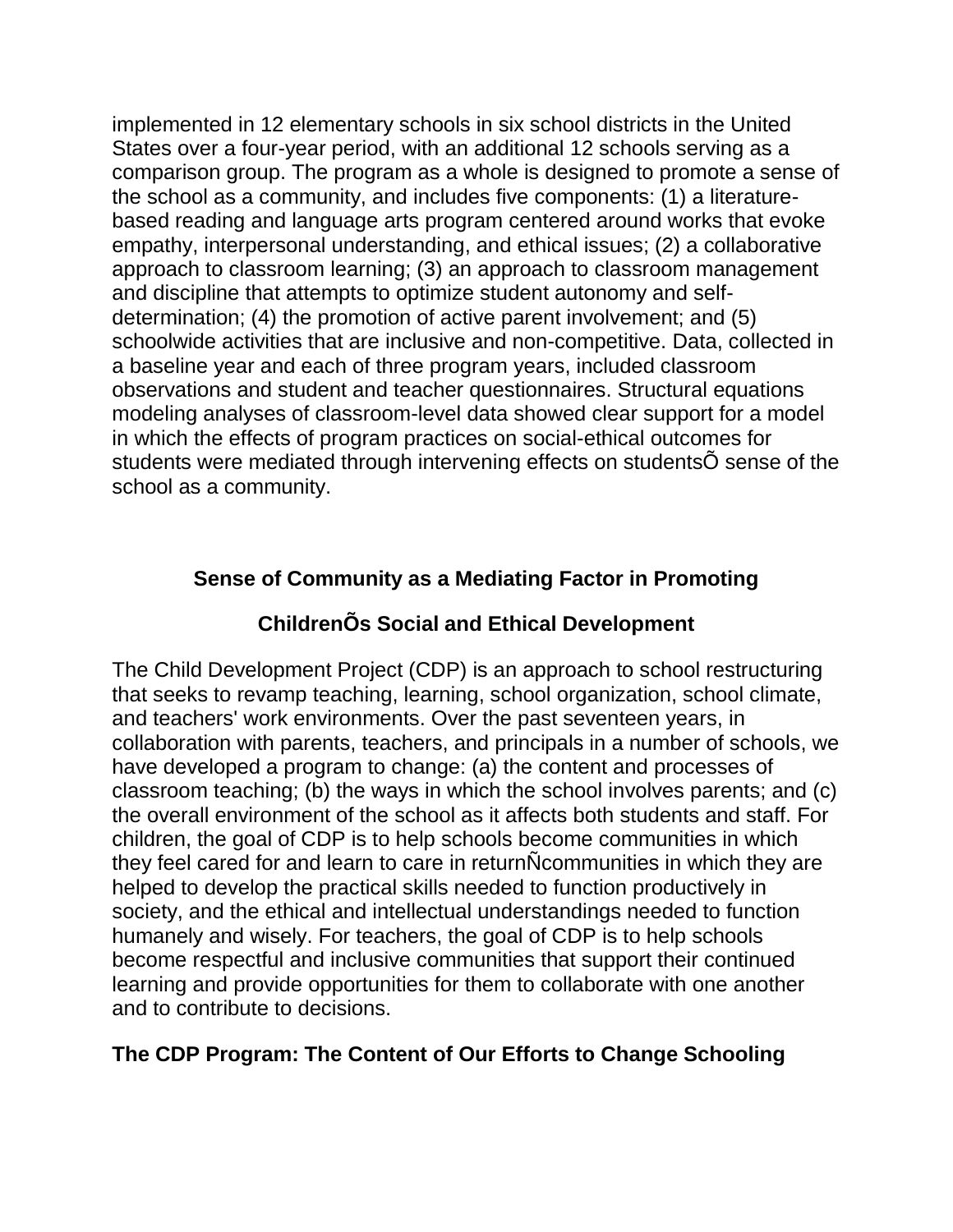implemented in 12 elementary schools in six school districts in the United States over a four-year period, with an additional 12 schools serving as a comparison group. The program as a whole is designed to promote a sense of the school as a community, and includes five components: (1) a literaturebased reading and language arts program centered around works that evoke empathy, interpersonal understanding, and ethical issues; (2) a collaborative approach to classroom learning; (3) an approach to classroom management and discipline that attempts to optimize student autonomy and selfdetermination; (4) the promotion of active parent involvement; and (5) schoolwide activities that are inclusive and non-competitive. Data, collected in a baseline year and each of three program years, included classroom observations and student and teacher questionnaires. Structural equations modeling analyses of classroom-level data showed clear support for a model in which the effects of program practices on social-ethical outcomes for students were mediated through intervening effects on studentsÕ sense of the school as a community.

# **Sense of Community as a Mediating Factor in Promoting**

# **ChildrenÕs Social and Ethical Development**

The Child Development Project (CDP) is an approach to school restructuring that seeks to revamp teaching, learning, school organization, school climate, and teachers' work environments. Over the past seventeen years, in collaboration with parents, teachers, and principals in a number of schools, we have developed a program to change: (a) the content and processes of classroom teaching; (b) the ways in which the school involves parents; and (c) the overall environment of the school as it affects both students and staff. For children, the goal of CDP is to help schools become communities in which they feel cared for and learn to care in returnÑcommunities in which they are helped to develop the practical skills needed to function productively in society, and the ethical and intellectual understandings needed to function humanely and wisely. For teachers, the goal of CDP is to help schools become respectful and inclusive communities that support their continued learning and provide opportunities for them to collaborate with one another and to contribute to decisions.

## **The CDP Program: The Content of Our Efforts to Change Schooling**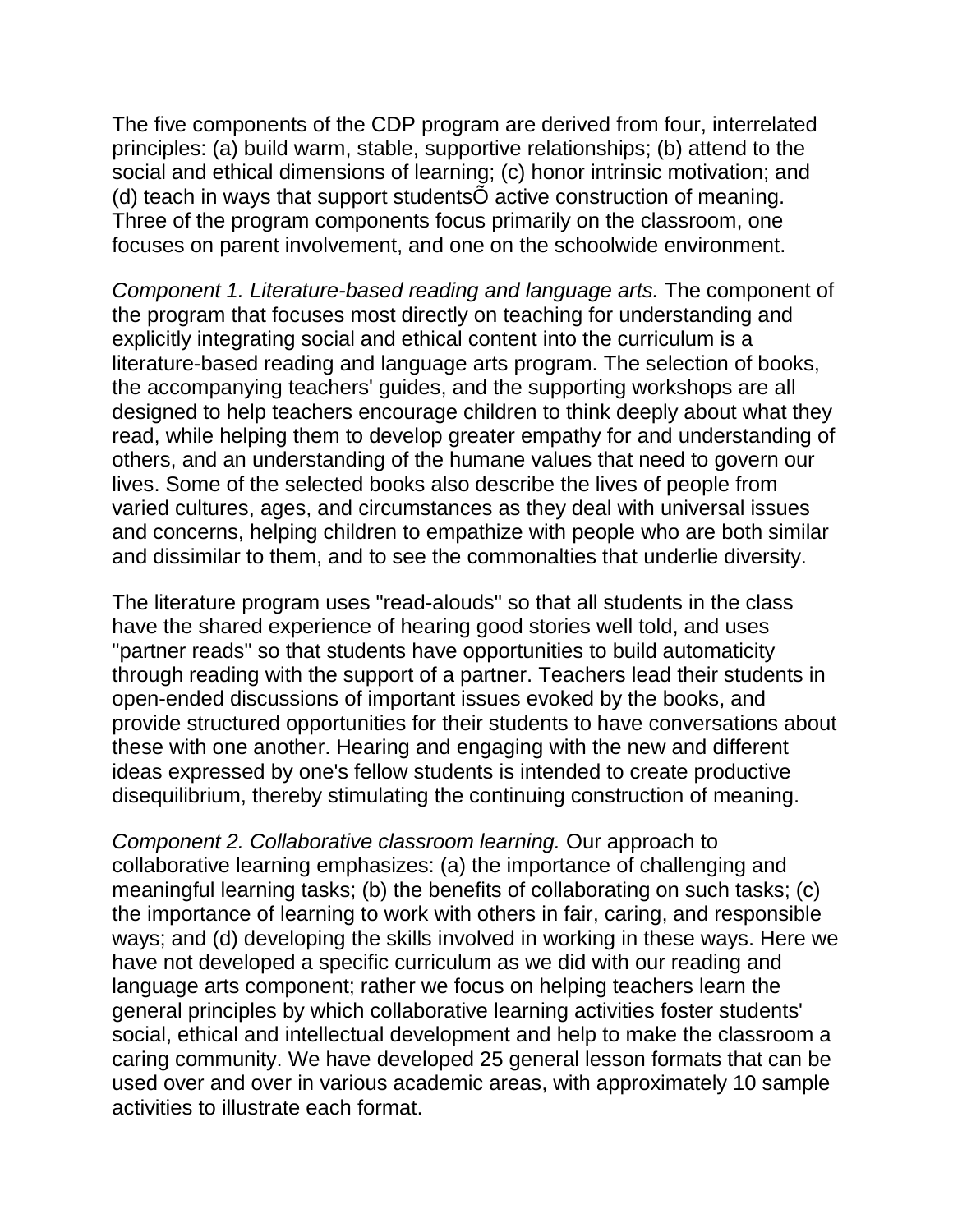The five components of the CDP program are derived from four, interrelated principles: (a) build warm, stable, supportive relationships; (b) attend to the social and ethical dimensions of learning; (c) honor intrinsic motivation; and (d) teach in ways that support studentsÕ active construction of meaning. Three of the program components focus primarily on the classroom, one focuses on parent involvement, and one on the schoolwide environment.

*Component 1. Literature-based reading and language arts.* The component of the program that focuses most directly on teaching for understanding and explicitly integrating social and ethical content into the curriculum is a literature-based reading and language arts program. The selection of books, the accompanying teachers' guides, and the supporting workshops are all designed to help teachers encourage children to think deeply about what they read, while helping them to develop greater empathy for and understanding of others, and an understanding of the humane values that need to govern our lives. Some of the selected books also describe the lives of people from varied cultures, ages, and circumstances as they deal with universal issues and concerns, helping children to empathize with people who are both similar and dissimilar to them, and to see the commonalties that underlie diversity.

The literature program uses "read-alouds" so that all students in the class have the shared experience of hearing good stories well told, and uses "partner reads" so that students have opportunities to build automaticity through reading with the support of a partner. Teachers lead their students in open-ended discussions of important issues evoked by the books, and provide structured opportunities for their students to have conversations about these with one another. Hearing and engaging with the new and different ideas expressed by one's fellow students is intended to create productive disequilibrium, thereby stimulating the continuing construction of meaning.

*Component 2. Collaborative classroom learning.* Our approach to collaborative learning emphasizes: (a) the importance of challenging and meaningful learning tasks; (b) the benefits of collaborating on such tasks; (c) the importance of learning to work with others in fair, caring, and responsible ways; and (d) developing the skills involved in working in these ways. Here we have not developed a specific curriculum as we did with our reading and language arts component; rather we focus on helping teachers learn the general principles by which collaborative learning activities foster students' social, ethical and intellectual development and help to make the classroom a caring community. We have developed 25 general lesson formats that can be used over and over in various academic areas, with approximately 10 sample activities to illustrate each format.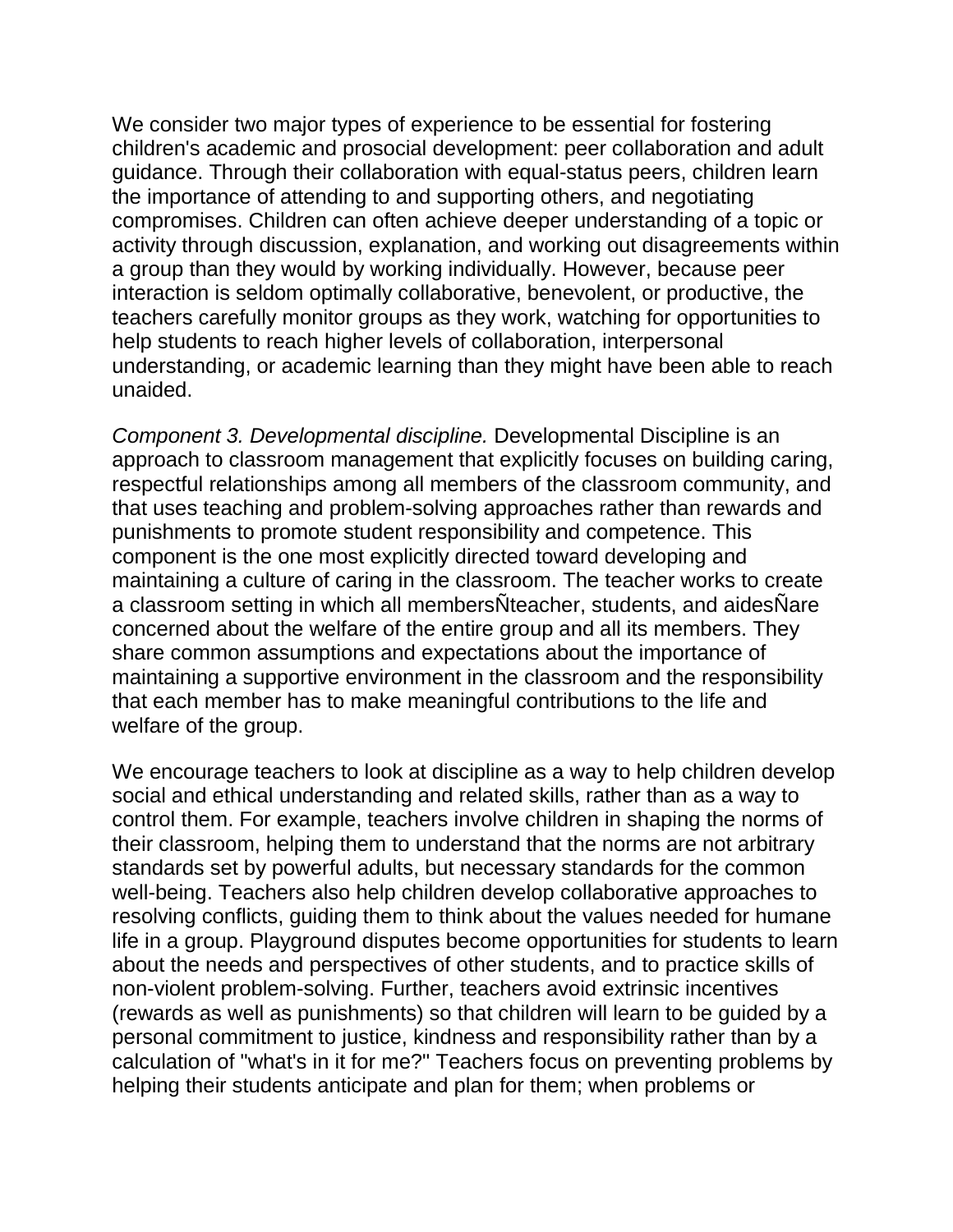We consider two major types of experience to be essential for fostering children's academic and prosocial development: peer collaboration and adult guidance. Through their collaboration with equal-status peers, children learn the importance of attending to and supporting others, and negotiating compromises. Children can often achieve deeper understanding of a topic or activity through discussion, explanation, and working out disagreements within a group than they would by working individually. However, because peer interaction is seldom optimally collaborative, benevolent, or productive, the teachers carefully monitor groups as they work, watching for opportunities to help students to reach higher levels of collaboration, interpersonal understanding, or academic learning than they might have been able to reach unaided.

*Component 3. Developmental discipline.* Developmental Discipline is an approach to classroom management that explicitly focuses on building caring, respectful relationships among all members of the classroom community, and that uses teaching and problem-solving approaches rather than rewards and punishments to promote student responsibility and competence. This component is the one most explicitly directed toward developing and maintaining a culture of caring in the classroom. The teacher works to create a classroom setting in which all membersÑteacher, students, and aidesÑare concerned about the welfare of the entire group and all its members. They share common assumptions and expectations about the importance of maintaining a supportive environment in the classroom and the responsibility that each member has to make meaningful contributions to the life and welfare of the group.

We encourage teachers to look at discipline as a way to help children develop social and ethical understanding and related skills, rather than as a way to control them. For example, teachers involve children in shaping the norms of their classroom, helping them to understand that the norms are not arbitrary standards set by powerful adults, but necessary standards for the common well-being. Teachers also help children develop collaborative approaches to resolving conflicts, guiding them to think about the values needed for humane life in a group. Playground disputes become opportunities for students to learn about the needs and perspectives of other students, and to practice skills of non-violent problem-solving. Further, teachers avoid extrinsic incentives (rewards as well as punishments) so that children will learn to be guided by a personal commitment to justice, kindness and responsibility rather than by a calculation of "what's in it for me?" Teachers focus on preventing problems by helping their students anticipate and plan for them; when problems or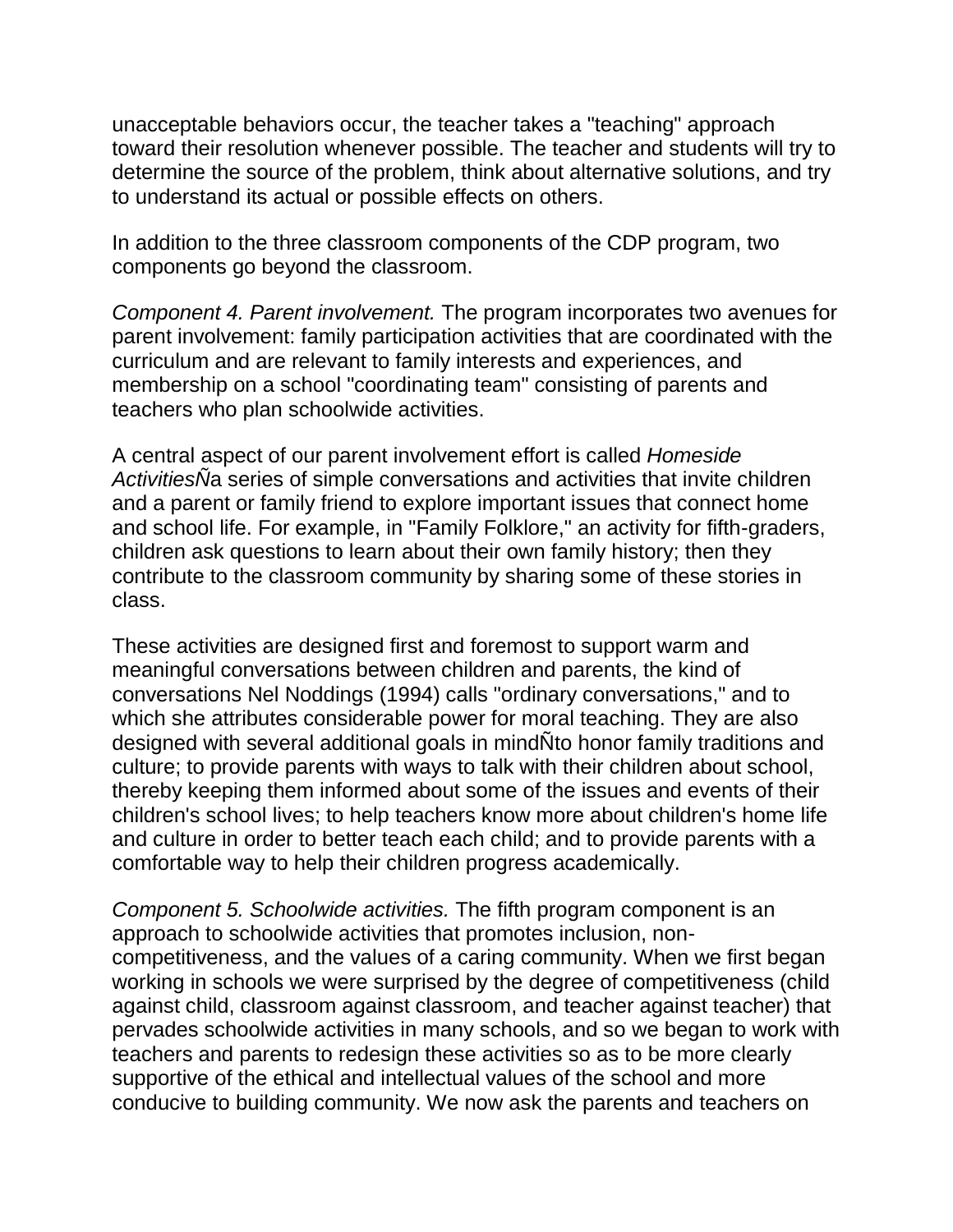unacceptable behaviors occur, the teacher takes a "teaching" approach toward their resolution whenever possible. The teacher and students will try to determine the source of the problem, think about alternative solutions, and try to understand its actual or possible effects on others.

In addition to the three classroom components of the CDP program, two components go beyond the classroom.

*Component 4. Parent involvement.* The program incorporates two avenues for parent involvement: family participation activities that are coordinated with the curriculum and are relevant to family interests and experiences, and membership on a school "coordinating team" consisting of parents and teachers who plan schoolwide activities.

A central aspect of our parent involvement effort is called *Homeside ActivitiesÑ*a series of simple conversations and activities that invite children and a parent or family friend to explore important issues that connect home and school life. For example, in "Family Folklore," an activity for fifth-graders, children ask questions to learn about their own family history; then they contribute to the classroom community by sharing some of these stories in class.

These activities are designed first and foremost to support warm and meaningful conversations between children and parents, the kind of conversations Nel Noddings (1994) calls "ordinary conversations," and to which she attributes considerable power for moral teaching. They are also designed with several additional goals in mindÑto honor family traditions and culture; to provide parents with ways to talk with their children about school, thereby keeping them informed about some of the issues and events of their children's school lives; to help teachers know more about children's home life and culture in order to better teach each child; and to provide parents with a comfortable way to help their children progress academically.

*Component 5. Schoolwide activities.* The fifth program component is an approach to schoolwide activities that promotes inclusion, noncompetitiveness, and the values of a caring community. When we first began working in schools we were surprised by the degree of competitiveness (child against child, classroom against classroom, and teacher against teacher) that pervades schoolwide activities in many schools, and so we began to work with teachers and parents to redesign these activities so as to be more clearly supportive of the ethical and intellectual values of the school and more conducive to building community. We now ask the parents and teachers on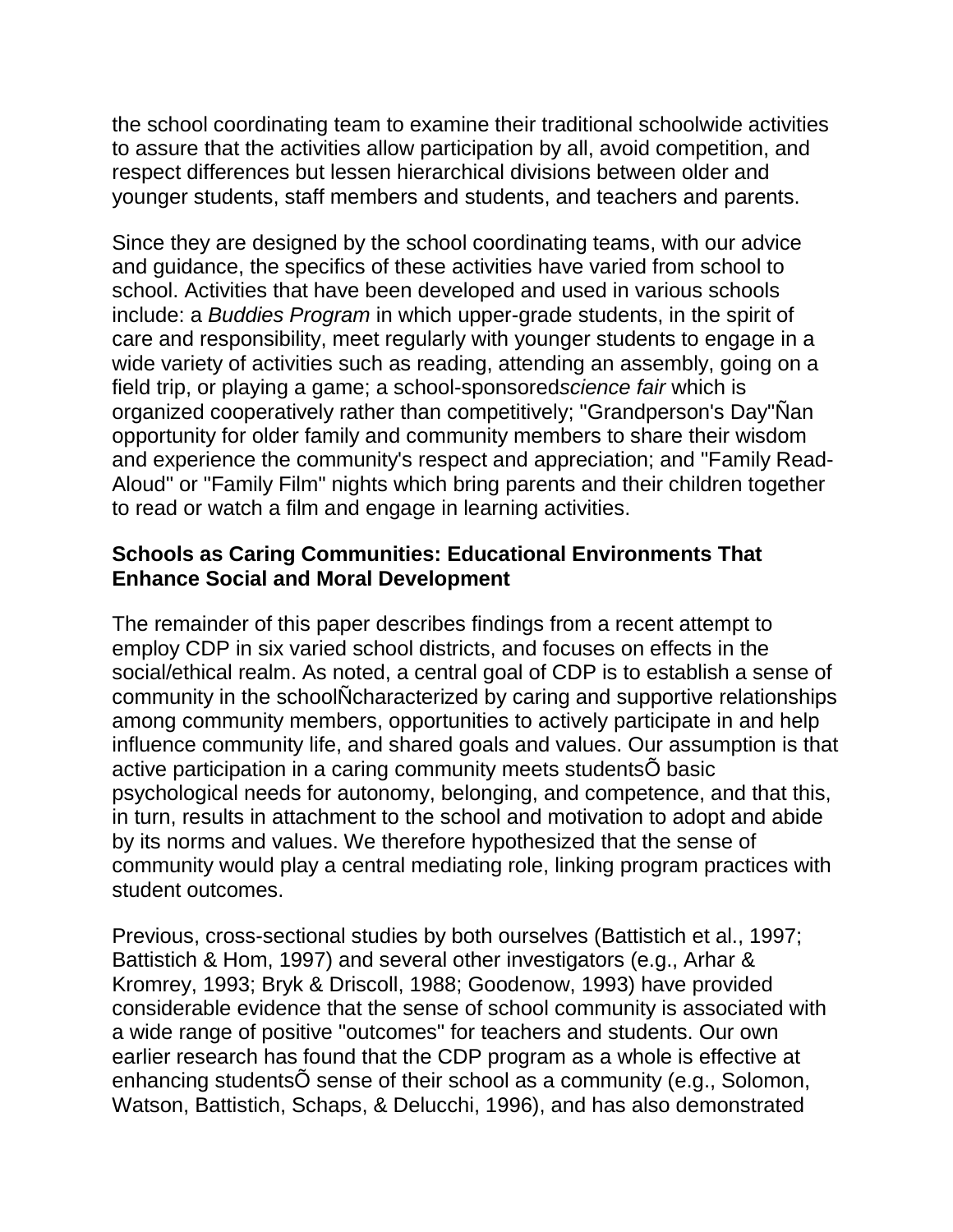the school coordinating team to examine their traditional schoolwide activities to assure that the activities allow participation by all, avoid competition, and respect differences but lessen hierarchical divisions between older and younger students, staff members and students, and teachers and parents.

Since they are designed by the school coordinating teams, with our advice and guidance, the specifics of these activities have varied from school to school. Activities that have been developed and used in various schools include: a *Buddies Program* in which upper-grade students, in the spirit of care and responsibility, meet regularly with younger students to engage in a wide variety of activities such as reading, attending an assembly, going on a field trip, or playing a game; a school-sponsored*science fair* which is organized cooperatively rather than competitively; "Grandperson's Day"Ñan opportunity for older family and community members to share their wisdom and experience the community's respect and appreciation; and "Family Read-Aloud" or "Family Film" nights which bring parents and their children together to read or watch a film and engage in learning activities.

## **Schools as Caring Communities: Educational Environments That Enhance Social and Moral Development**

The remainder of this paper describes findings from a recent attempt to employ CDP in six varied school districts, and focuses on effects in the social/ethical realm. As noted, a central goal of CDP is to establish a sense of community in the schoolÑcharacterized by caring and supportive relationships among community members, opportunities to actively participate in and help influence community life, and shared goals and values. Our assumption is that active participation in a caring community meets studentsÕ basic psychological needs for autonomy, belonging, and competence, and that this, in turn, results in attachment to the school and motivation to adopt and abide by its norms and values. We therefore hypothesized that the sense of community would play a central mediating role, linking program practices with student outcomes.

Previous, cross-sectional studies by both ourselves (Battistich et al., 1997; Battistich & Hom, 1997) and several other investigators (e.g., Arhar & Kromrey, 1993; Bryk & Driscoll, 1988; Goodenow, 1993) have provided considerable evidence that the sense of school community is associated with a wide range of positive "outcomes" for teachers and students. Our own earlier research has found that the CDP program as a whole is effective at enhancing studentsÕ sense of their school as a community (e.g., Solomon, Watson, Battistich, Schaps, & Delucchi, 1996), and has also demonstrated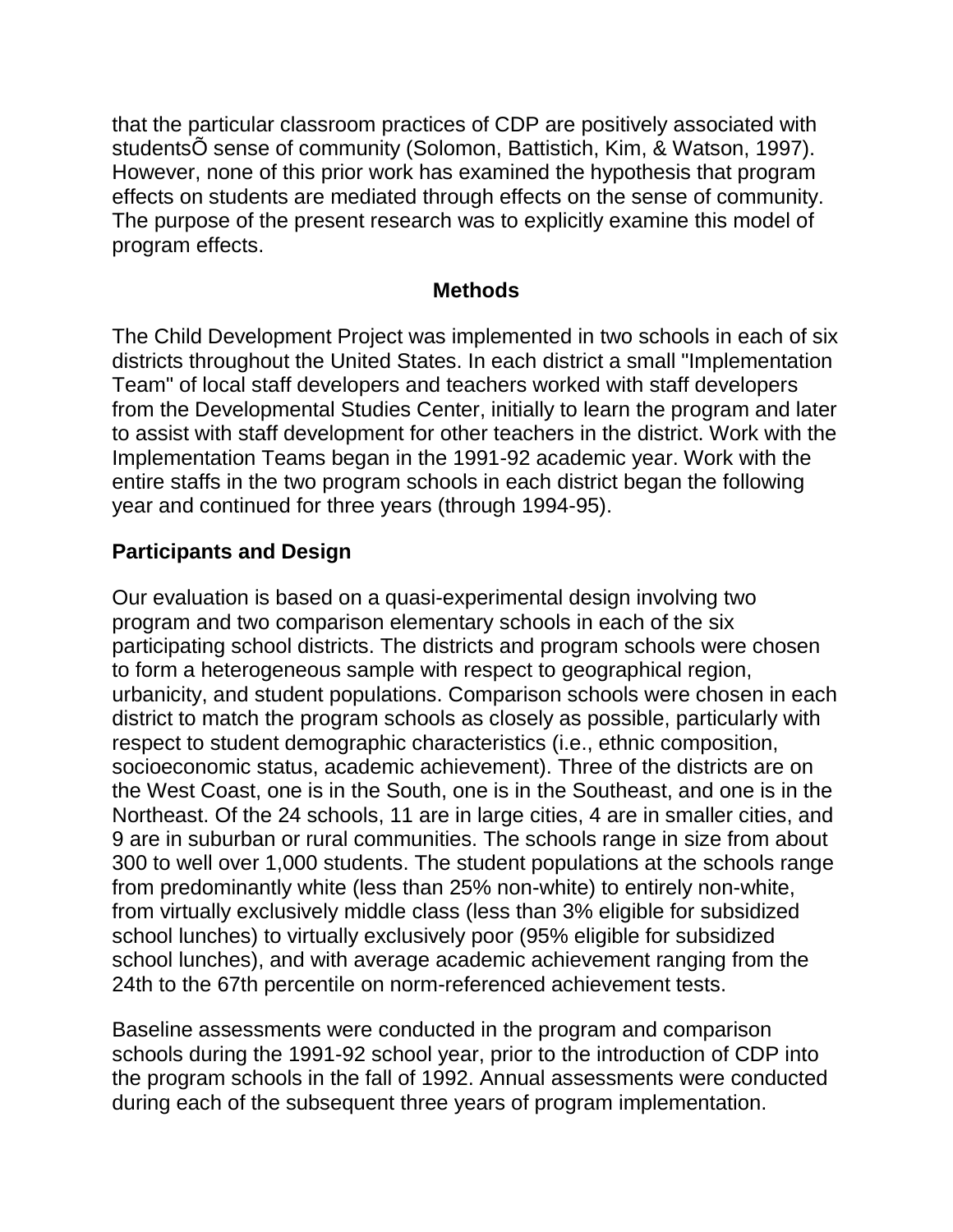that the particular classroom practices of CDP are positively associated with studentsÕ sense of community (Solomon, Battistich, Kim, & Watson, 1997). However, none of this prior work has examined the hypothesis that program effects on students are mediated through effects on the sense of community. The purpose of the present research was to explicitly examine this model of program effects.

#### **Methods**

The Child Development Project was implemented in two schools in each of six districts throughout the United States. In each district a small "Implementation Team" of local staff developers and teachers worked with staff developers from the Developmental Studies Center, initially to learn the program and later to assist with staff development for other teachers in the district. Work with the Implementation Teams began in the 1991-92 academic year. Work with the entire staffs in the two program schools in each district began the following year and continued for three years (through 1994-95).

### **Participants and Design**

Our evaluation is based on a quasi-experimental design involving two program and two comparison elementary schools in each of the six participating school districts. The districts and program schools were chosen to form a heterogeneous sample with respect to geographical region, urbanicity, and student populations. Comparison schools were chosen in each district to match the program schools as closely as possible, particularly with respect to student demographic characteristics (i.e., ethnic composition, socioeconomic status, academic achievement). Three of the districts are on the West Coast, one is in the South, one is in the Southeast, and one is in the Northeast. Of the 24 schools, 11 are in large cities, 4 are in smaller cities, and 9 are in suburban or rural communities. The schools range in size from about 300 to well over 1,000 students. The student populations at the schools range from predominantly white (less than 25% non-white) to entirely non-white, from virtually exclusively middle class (less than 3% eligible for subsidized school lunches) to virtually exclusively poor (95% eligible for subsidized school lunches), and with average academic achievement ranging from the 24th to the 67th percentile on norm-referenced achievement tests.

Baseline assessments were conducted in the program and comparison schools during the 1991-92 school year, prior to the introduction of CDP into the program schools in the fall of 1992. Annual assessments were conducted during each of the subsequent three years of program implementation.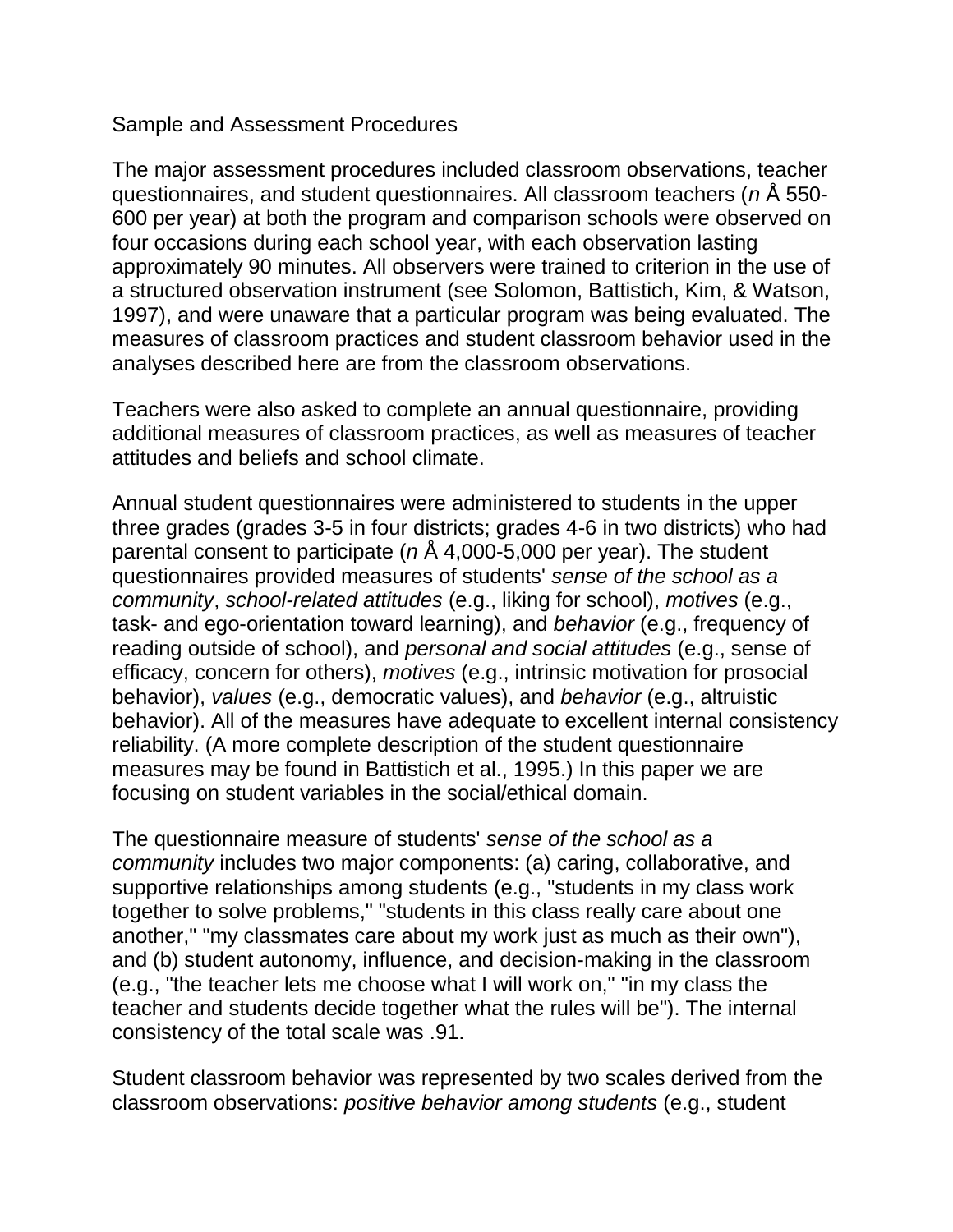#### Sample and Assessment Procedures

The major assessment procedures included classroom observations, teacher questionnaires, and student questionnaires. All classroom teachers (*n* Å 550- 600 per year) at both the program and comparison schools were observed on four occasions during each school year, with each observation lasting approximately 90 minutes. All observers were trained to criterion in the use of a structured observation instrument (see Solomon, Battistich, Kim, & Watson, 1997), and were unaware that a particular program was being evaluated. The measures of classroom practices and student classroom behavior used in the analyses described here are from the classroom observations.

Teachers were also asked to complete an annual questionnaire, providing additional measures of classroom practices, as well as measures of teacher attitudes and beliefs and school climate.

Annual student questionnaires were administered to students in the upper three grades (grades 3-5 in four districts; grades 4-6 in two districts) who had parental consent to participate (*n* Å 4,000-5,000 per year). The student questionnaires provided measures of students' *sense of the school as a community*, *school-related attitudes* (e.g., liking for school), *motives* (e.g., task- and ego-orientation toward learning), and *behavior* (e.g., frequency of reading outside of school), and *personal and social attitudes* (e.g., sense of efficacy, concern for others), *motives* (e.g., intrinsic motivation for prosocial behavior), *values* (e.g., democratic values), and *behavior* (e.g., altruistic behavior). All of the measures have adequate to excellent internal consistency reliability. (A more complete description of the student questionnaire measures may be found in Battistich et al., 1995.) In this paper we are focusing on student variables in the social/ethical domain.

The questionnaire measure of students' *sense of the school as a community* includes two major components: (a) caring, collaborative, and supportive relationships among students (e.g., "students in my class work together to solve problems," "students in this class really care about one another," "my classmates care about my work just as much as their own"), and (b) student autonomy, influence, and decision-making in the classroom (e.g., "the teacher lets me choose what I will work on," "in my class the teacher and students decide together what the rules will be"). The internal consistency of the total scale was .91.

Student classroom behavior was represented by two scales derived from the classroom observations: *positive behavior among students* (e.g., student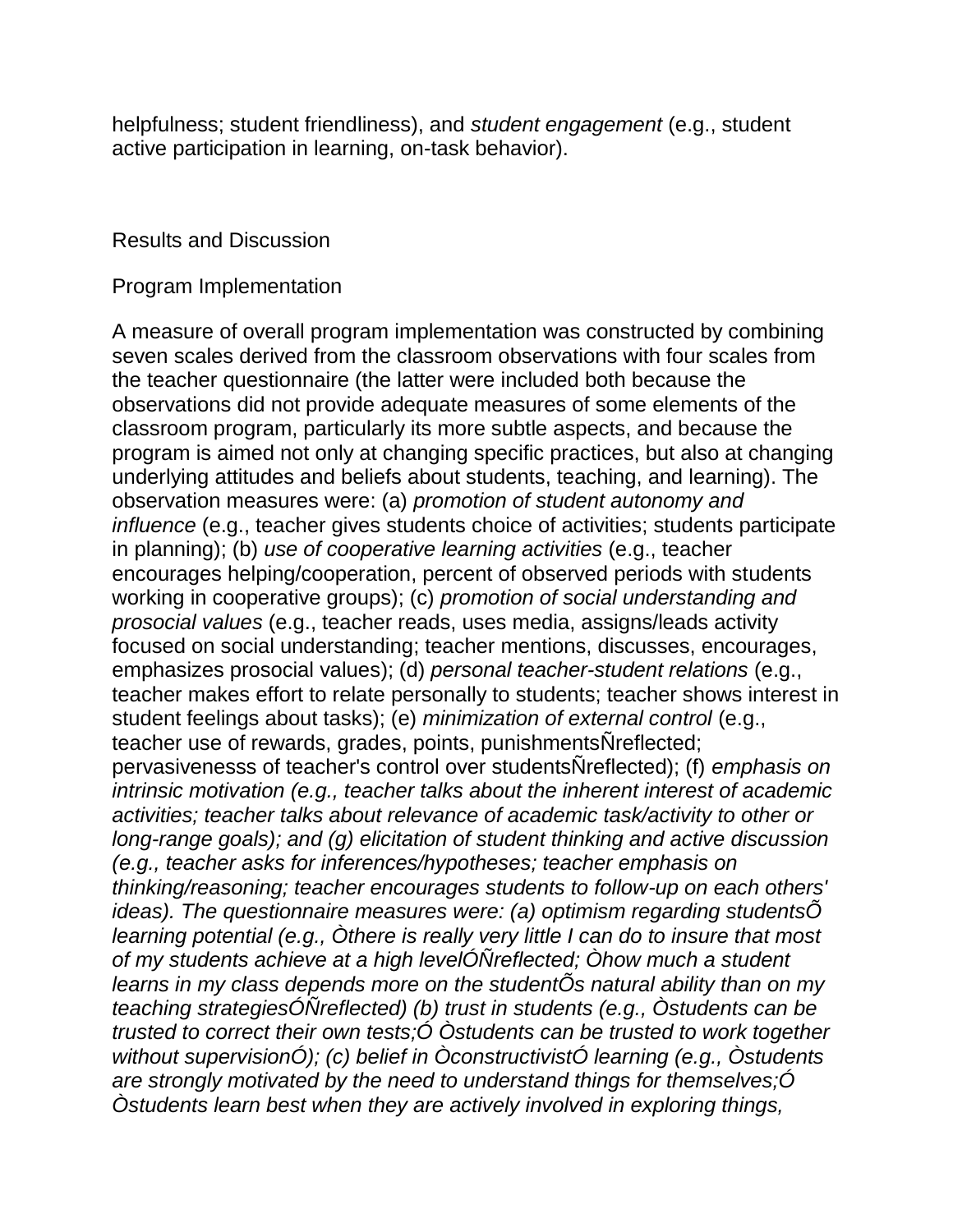helpfulness; student friendliness), and *student engagement* (e.g., student active participation in learning, on-task behavior).

#### Results and Discussion

#### Program Implementation

A measure of overall program implementation was constructed by combining seven scales derived from the classroom observations with four scales from the teacher questionnaire (the latter were included both because the observations did not provide adequate measures of some elements of the classroom program, particularly its more subtle aspects, and because the program is aimed not only at changing specific practices, but also at changing underlying attitudes and beliefs about students, teaching, and learning). The observation measures were: (a) *promotion of student autonomy and influence* (e.g., teacher gives students choice of activities; students participate in planning); (b) *use of cooperative learning activities* (e.g., teacher encourages helping/cooperation, percent of observed periods with students working in cooperative groups); (c) *promotion of social understanding and prosocial values* (e.g., teacher reads, uses media, assigns/leads activity focused on social understanding; teacher mentions, discusses, encourages, emphasizes prosocial values); (d) *personal teacher-student relations* (e.g., teacher makes effort to relate personally to students; teacher shows interest in student feelings about tasks); (e) *minimization of external control* (e.g., teacher use of rewards, grades, points, punishmentsÑreflected; pervasivenesss of teacher's control over studentsÑreflected); (f) *emphasis on intrinsic motivation (e.g., teacher talks about the inherent interest of academic activities; teacher talks about relevance of academic task/activity to other or long-range goals); and (g) elicitation of student thinking and active discussion (e.g., teacher asks for inferences/hypotheses; teacher emphasis on thinking/reasoning; teacher encourages students to follow-up on each others' ideas). The questionnaire measures were: (a) optimism regarding studentsÕ learning potential (e.g., Òthere is really very little I can do to insure that most of my students achieve at a high levelÓÑreflected; Òhow much a student learns in my class depends more on the studentÕs natural ability than on my teaching strategiesÓÑreflected) (b) trust in students (e.g., Òstudents can be trusted to correct their own tests;Ó Òstudents can be trusted to work together without supervisionÓ); (c) belief in ÒconstructivistÓ learning (e.g., Òstudents are strongly motivated by the need to understand things for themselves;Ó Òstudents learn best when they are actively involved in exploring things,*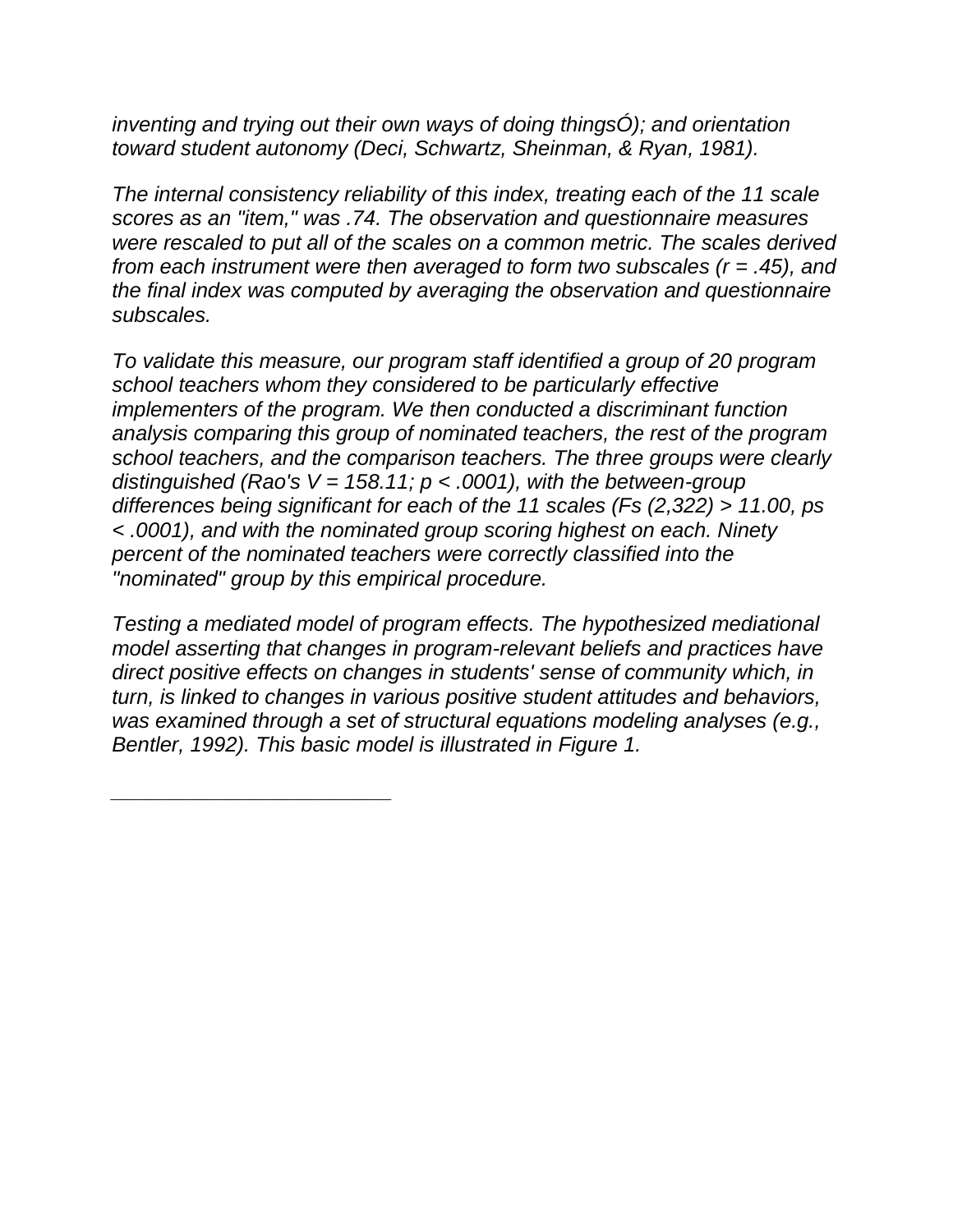*inventing and trying out their own ways of doing thingsÓ); and orientation toward student autonomy (Deci, Schwartz, Sheinman, & Ryan, 1981).*

*The internal consistency reliability of this index, treating each of the 11 scale scores as an "item," was .74. The observation and questionnaire measures were rescaled to put all of the scales on a common metric. The scales derived from each instrument were then averaged to form two subscales (r = .45), and the final index was computed by averaging the observation and questionnaire subscales.*

*To validate this measure, our program staff identified a group of 20 program school teachers whom they considered to be particularly effective implementers of the program. We then conducted a discriminant function analysis comparing this group of nominated teachers, the rest of the program school teachers, and the comparison teachers. The three groups were clearly distinguished (Rao's V = 158.11; p < .0001), with the between-group differences being significant for each of the 11 scales (Fs (2,322) > 11.00, ps < .0001), and with the nominated group scoring highest on each. Ninety percent of the nominated teachers were correctly classified into the "nominated" group by this empirical procedure.*

*Testing a mediated model of program effects. The hypothesized mediational model asserting that changes in program-relevant beliefs and practices have direct positive effects on changes in students' sense of community which, in turn, is linked to changes in various positive student attitudes and behaviors, was examined through a set of structural equations modeling analyses (e.g., Bentler, 1992). This basic model is illustrated in Figure 1.*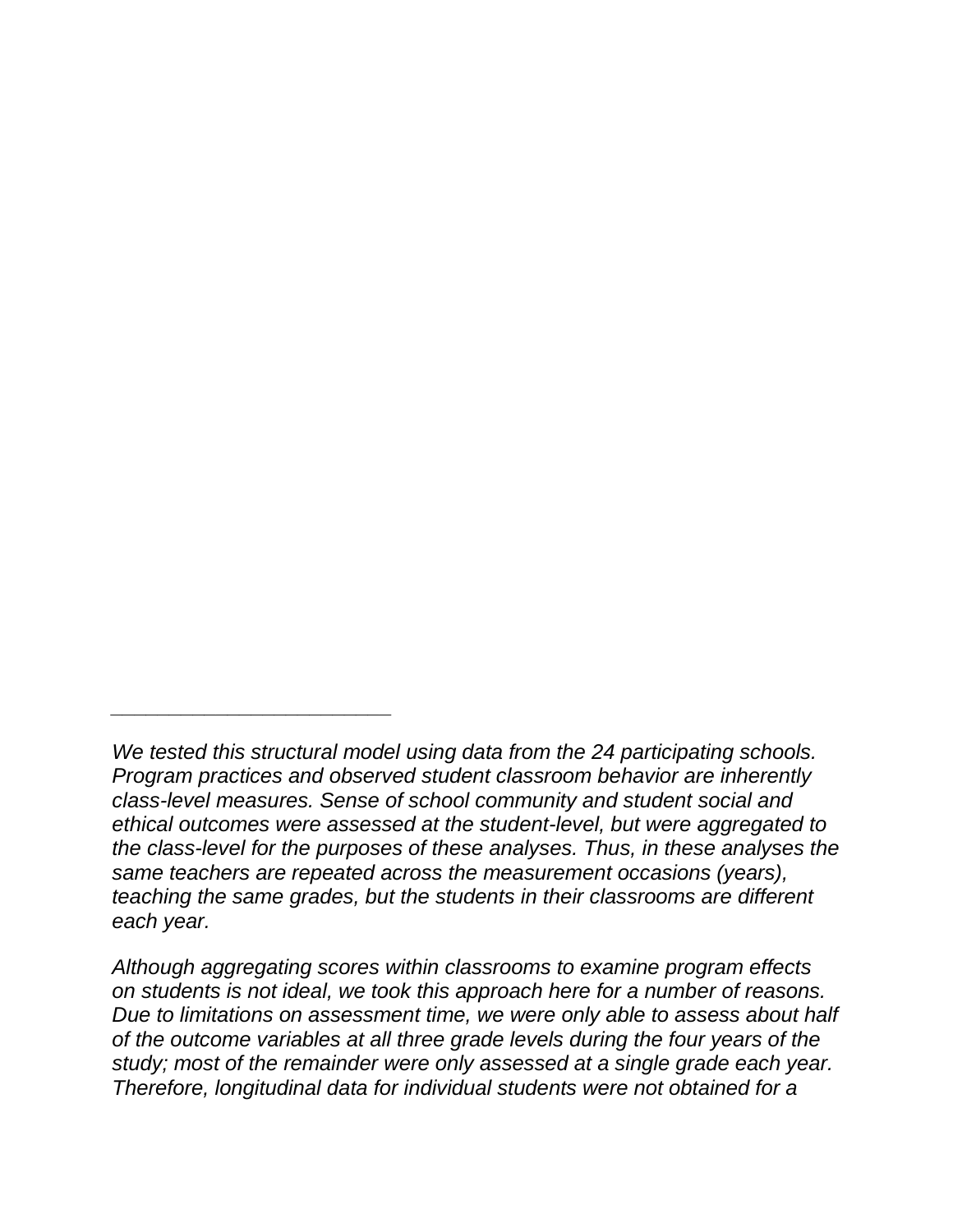*\_\_\_\_\_\_\_\_\_\_\_\_\_\_\_\_\_\_\_\_\_\_\_\_*

*Although aggregating scores within classrooms to examine program effects on students is not ideal, we took this approach here for a number of reasons. Due to limitations on assessment time, we were only able to assess about half of the outcome variables at all three grade levels during the four years of the study; most of the remainder were only assessed at a single grade each year. Therefore, longitudinal data for individual students were not obtained for a* 

*We tested this structural model using data from the 24 participating schools. Program practices and observed student classroom behavior are inherently class-level measures. Sense of school community and student social and ethical outcomes were assessed at the student-level, but were aggregated to the class-level for the purposes of these analyses. Thus, in these analyses the same teachers are repeated across the measurement occasions (years), teaching the same grades, but the students in their classrooms are different each year.*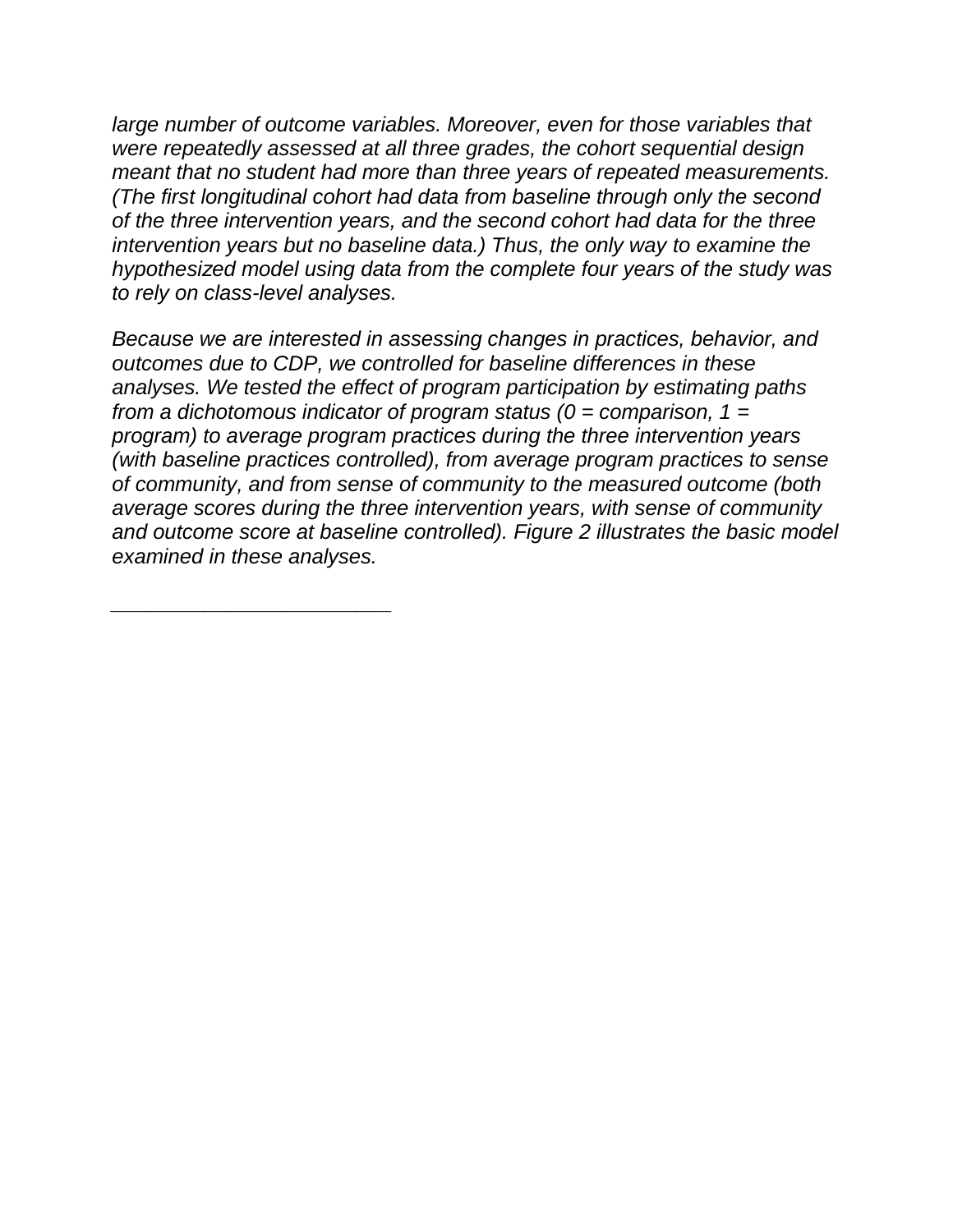*large number of outcome variables. Moreover, even for those variables that were repeatedly assessed at all three grades, the cohort sequential design meant that no student had more than three years of repeated measurements. (The first longitudinal cohort had data from baseline through only the second of the three intervention years, and the second cohort had data for the three intervention years but no baseline data.) Thus, the only way to examine the hypothesized model using data from the complete four years of the study was to rely on class-level analyses.*

*Because we are interested in assessing changes in practices, behavior, and outcomes due to CDP, we controlled for baseline differences in these analyses. We tested the effect of program participation by estimating paths from a dichotomous indicator of program status (0 = comparison, 1 = program) to average program practices during the three intervention years (with baseline practices controlled), from average program practices to sense of community, and from sense of community to the measured outcome (both average scores during the three intervention years, with sense of community and outcome score at baseline controlled). Figure 2 illustrates the basic model examined in these analyses.*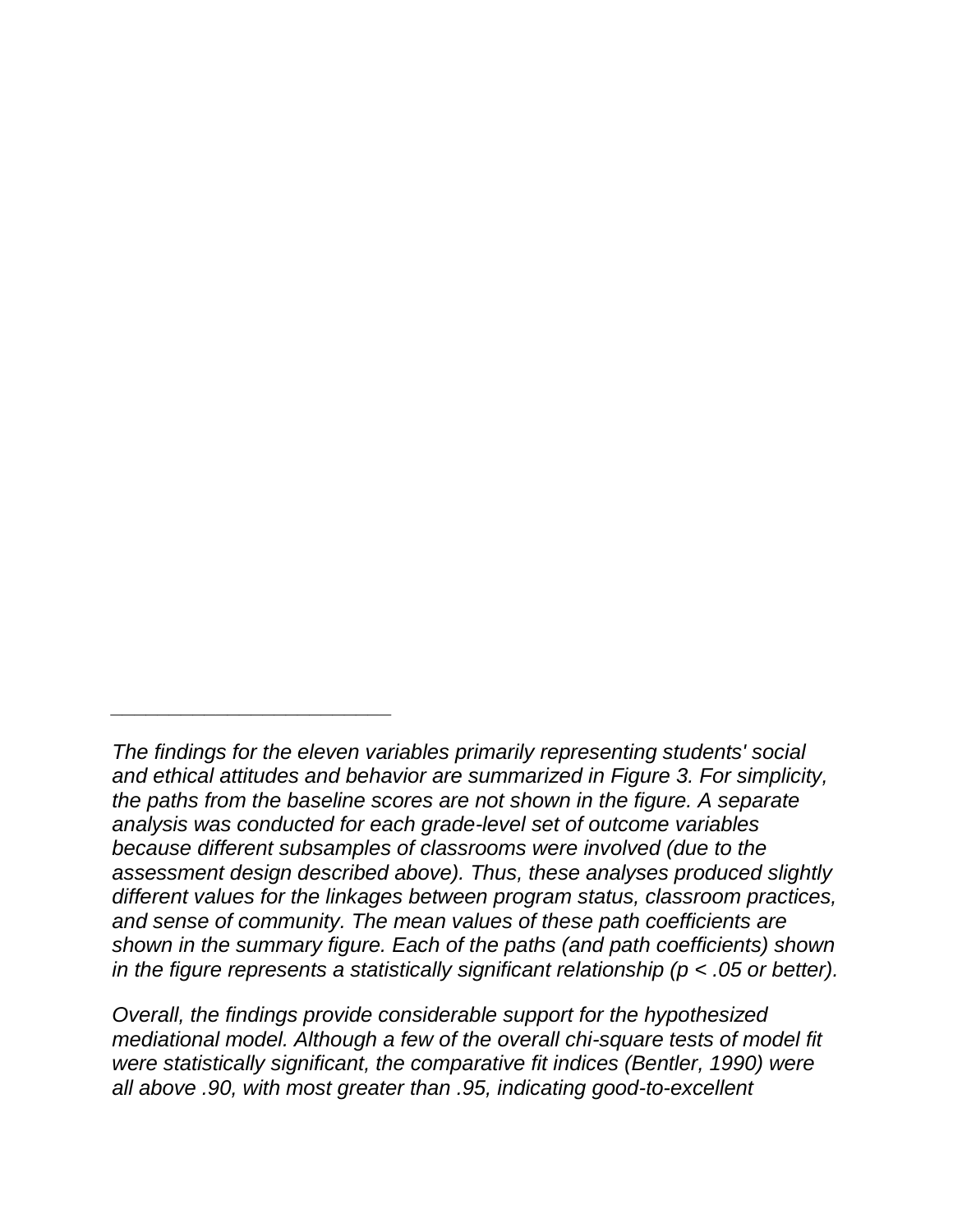*\_\_\_\_\_\_\_\_\_\_\_\_\_\_\_\_\_\_\_\_\_\_\_\_*

*Overall, the findings provide considerable support for the hypothesized mediational model. Although a few of the overall chi-square tests of model fit were statistically significant, the comparative fit indices (Bentler, 1990) were all above .90, with most greater than .95, indicating good-to-excellent* 

*The findings for the eleven variables primarily representing students' social and ethical attitudes and behavior are summarized in Figure 3. For simplicity, the paths from the baseline scores are not shown in the figure. A separate analysis was conducted for each grade-level set of outcome variables because different subsamples of classrooms were involved (due to the assessment design described above). Thus, these analyses produced slightly different values for the linkages between program status, classroom practices, and sense of community. The mean values of these path coefficients are shown in the summary figure. Each of the paths (and path coefficients) shown in the figure represents a statistically significant relationship (p < .05 or better).*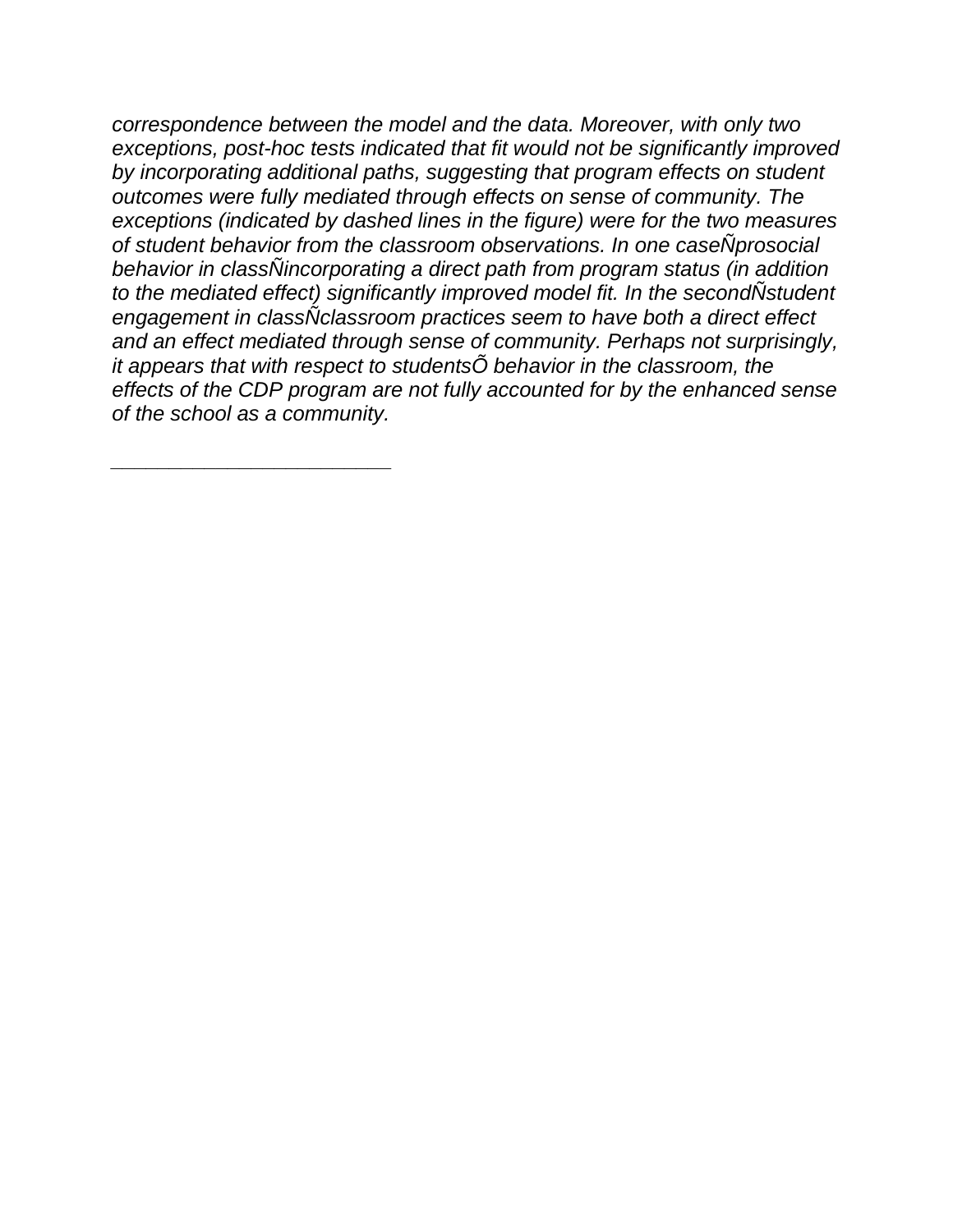*correspondence between the model and the data. Moreover, with only two exceptions, post-hoc tests indicated that fit would not be significantly improved by incorporating additional paths, suggesting that program effects on student outcomes were fully mediated through effects on sense of community. The exceptions (indicated by dashed lines in the figure) were for the two measures of student behavior from the classroom observations. In one caseÑprosocial behavior in classÑincorporating a direct path from program status (in addition to the mediated effect) significantly improved model fit. In the secondÑstudent engagement in classÑclassroom practices seem to have both a direct effect and an effect mediated through sense of community. Perhaps not surprisingly, it appears that with respect to studentsÕ behavior in the classroom, the effects of the CDP program are not fully accounted for by the enhanced sense of the school as a community.*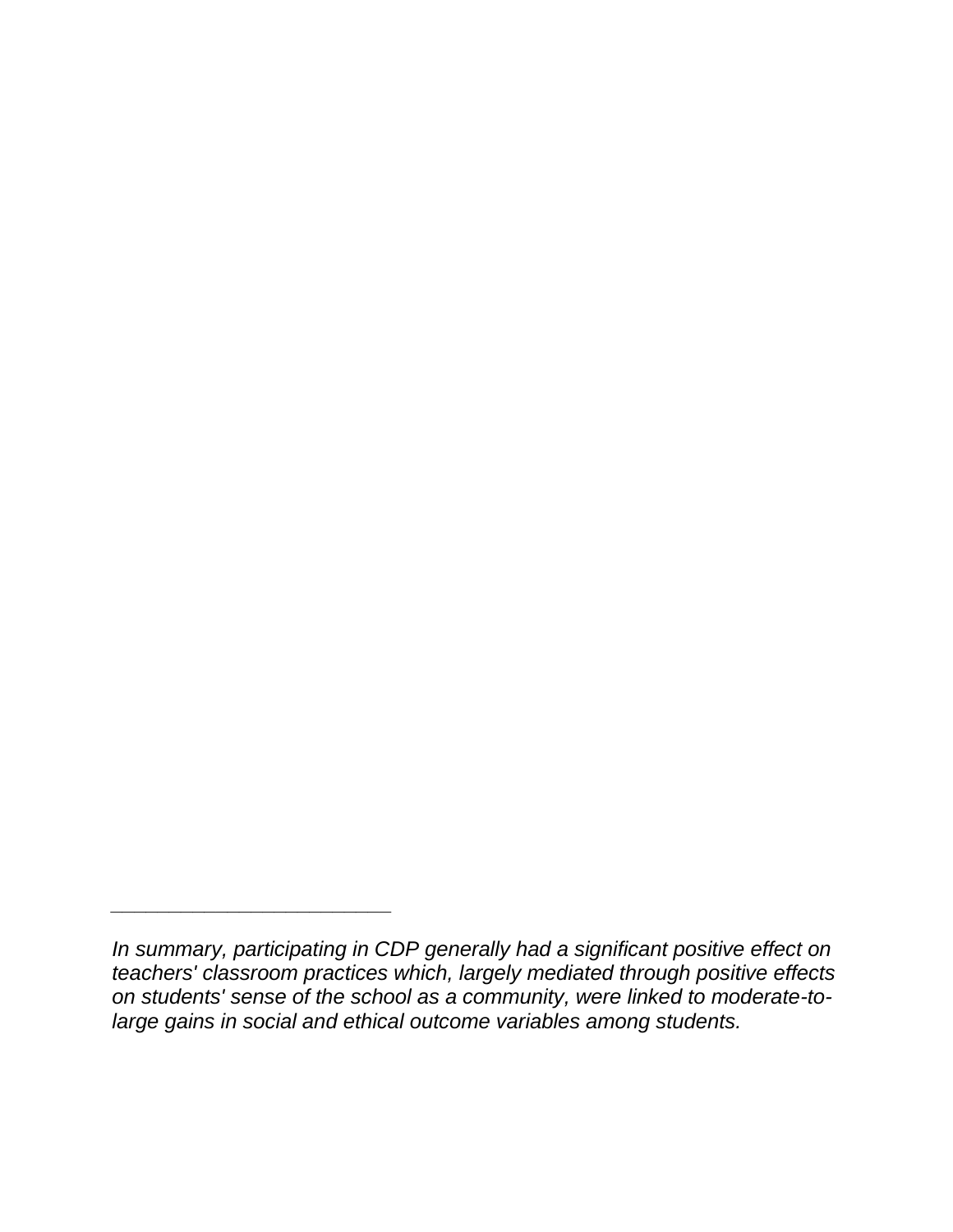*In summary, participating in CDP generally had a significant positive effect on teachers' classroom practices which, largely mediated through positive effects on students' sense of the school as a community, were linked to moderate-tolarge gains in social and ethical outcome variables among students.*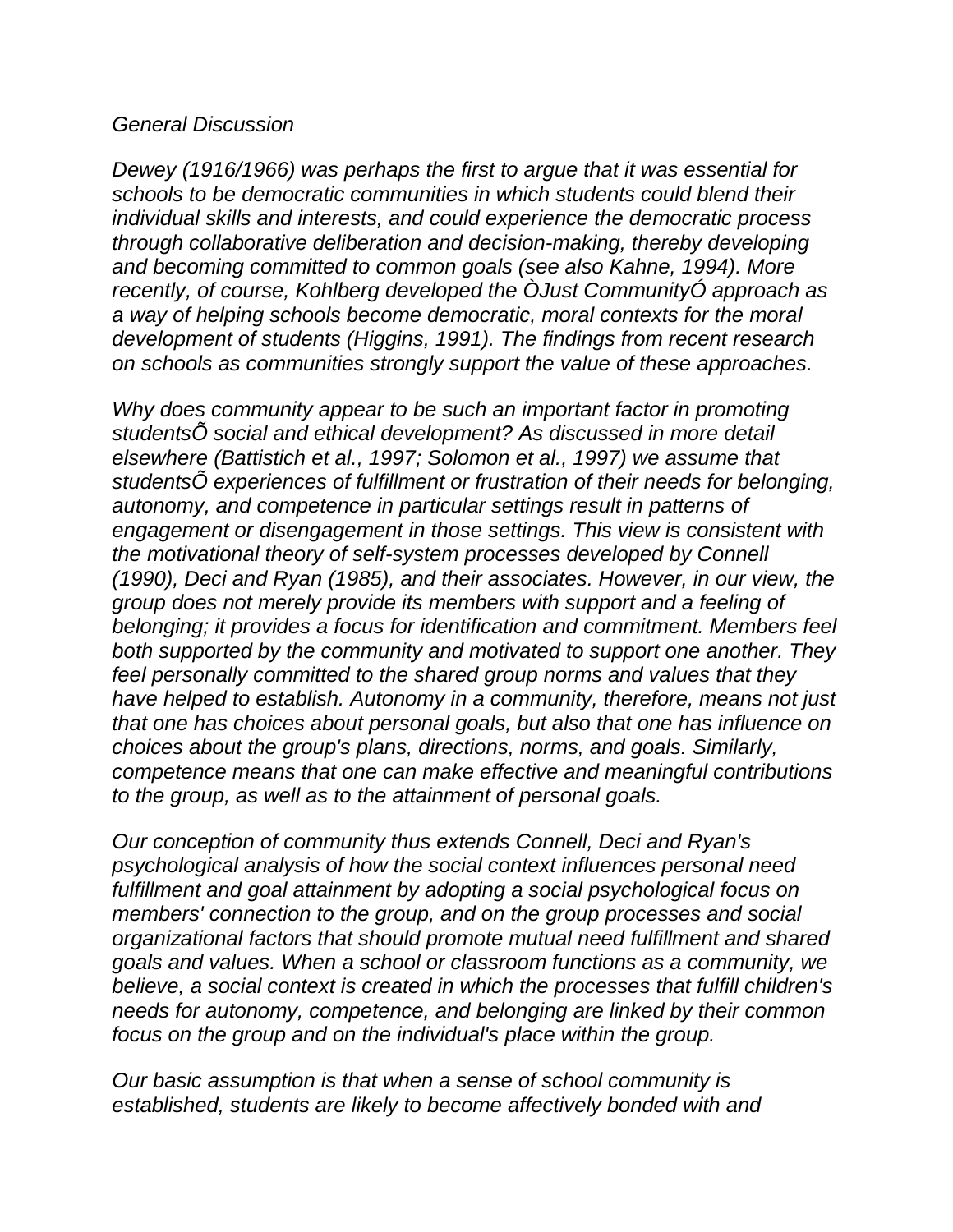#### *General Discussion*

*Dewey (1916/1966) was perhaps the first to argue that it was essential for schools to be democratic communities in which students could blend their individual skills and interests, and could experience the democratic process through collaborative deliberation and decision-making, thereby developing and becoming committed to common goals (see also Kahne, 1994). More recently, of course, Kohlberg developed the ÒJust CommunityÓ approach as a way of helping schools become democratic, moral contexts for the moral development of students (Higgins, 1991). The findings from recent research on schools as communities strongly support the value of these approaches.*

*Why does community appear to be such an important factor in promoting studentsÕ social and ethical development? As discussed in more detail elsewhere (Battistich et al., 1997; Solomon et al., 1997) we assume that studentsÕ experiences of fulfillment or frustration of their needs for belonging, autonomy, and competence in particular settings result in patterns of engagement or disengagement in those settings. This view is consistent with the motivational theory of self-system processes developed by Connell (1990), Deci and Ryan (1985), and their associates. However, in our view, the group does not merely provide its members with support and a feeling of belonging; it provides a focus for identification and commitment. Members feel both supported by the community and motivated to support one another. They feel personally committed to the shared group norms and values that they have helped to establish. Autonomy in a community, therefore, means not just that one has choices about personal goals, but also that one has influence on choices about the group's plans, directions, norms, and goals. Similarly, competence means that one can make effective and meaningful contributions to the group, as well as to the attainment of personal goals.*

*Our conception of community thus extends Connell, Deci and Ryan's psychological analysis of how the social context influences personal need fulfillment and goal attainment by adopting a social psychological focus on members' connection to the group, and on the group processes and social organizational factors that should promote mutual need fulfillment and shared goals and values. When a school or classroom functions as a community, we believe, a social context is created in which the processes that fulfill children's needs for autonomy, competence, and belonging are linked by their common focus on the group and on the individual's place within the group.*

*Our basic assumption is that when a sense of school community is established, students are likely to become affectively bonded with and*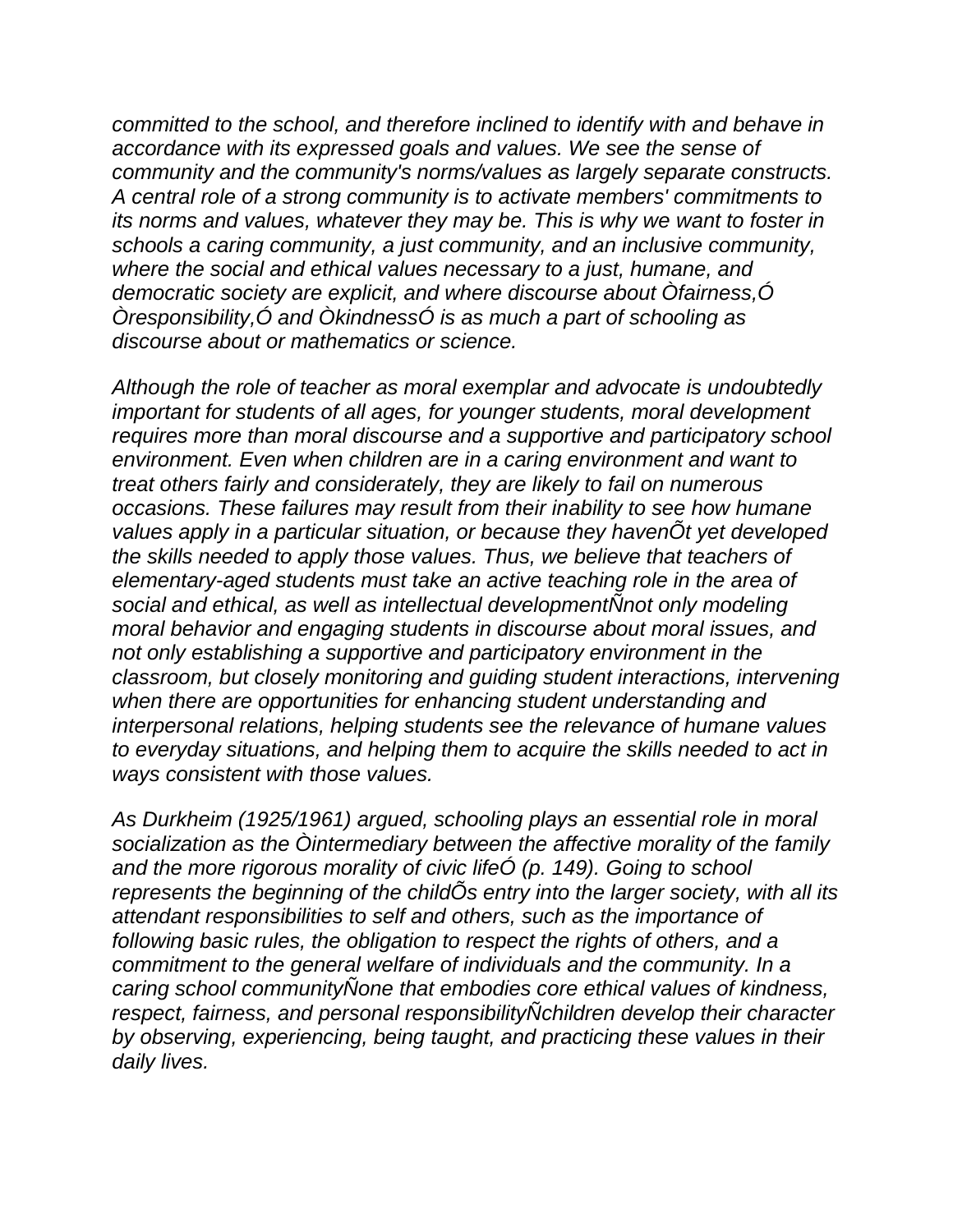*committed to the school, and therefore inclined to identify with and behave in accordance with its expressed goals and values. We see the sense of community and the community's norms/values as largely separate constructs. A central role of a strong community is to activate members' commitments to its norms and values, whatever they may be. This is why we want to foster in schools a caring community, a just community, and an inclusive community, where the social and ethical values necessary to a just, humane, and democratic society are explicit, and where discourse about Òfairness,Ó Òresponsibility,Ó and ÒkindnessÓ is as much a part of schooling as discourse about or mathematics or science.*

*Although the role of teacher as moral exemplar and advocate is undoubtedly important for students of all ages, for younger students, moral development requires more than moral discourse and a supportive and participatory school environment. Even when children are in a caring environment and want to treat others fairly and considerately, they are likely to fail on numerous occasions. These failures may result from their inability to see how humane values apply in a particular situation, or because they havenÕt yet developed the skills needed to apply those values. Thus, we believe that teachers of elementary-aged students must take an active teaching role in the area of social and ethical, as well as intellectual developmentÑnot only modeling moral behavior and engaging students in discourse about moral issues, and not only establishing a supportive and participatory environment in the classroom, but closely monitoring and guiding student interactions, intervening when there are opportunities for enhancing student understanding and interpersonal relations, helping students see the relevance of humane values to everyday situations, and helping them to acquire the skills needed to act in ways consistent with those values.*

*As Durkheim (1925/1961) argued, schooling plays an essential role in moral socialization as the Òintermediary between the affective morality of the family and the more rigorous morality of civic lifeÓ (p. 149). Going to school represents the beginning of the childÕs entry into the larger society, with all its attendant responsibilities to self and others, such as the importance of following basic rules, the obligation to respect the rights of others, and a commitment to the general welfare of individuals and the community. In a caring school communityÑone that embodies core ethical values of kindness, respect, fairness, and personal responsibilityÑchildren develop their character by observing, experiencing, being taught, and practicing these values in their daily lives.*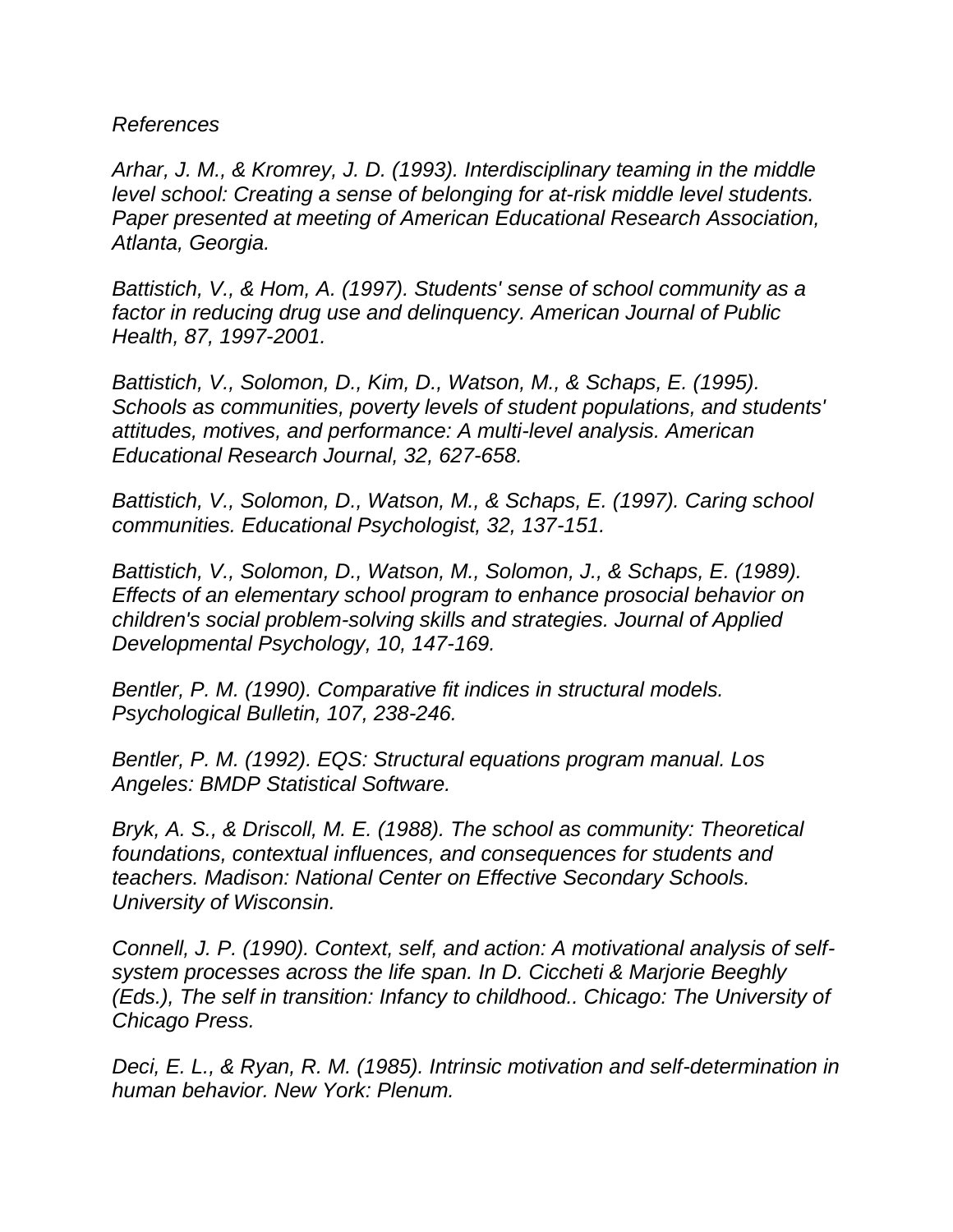*References*

*Arhar, J. M., & Kromrey, J. D. (1993). Interdisciplinary teaming in the middle level school: Creating a sense of belonging for at-risk middle level students. Paper presented at meeting of American Educational Research Association, Atlanta, Georgia.*

*Battistich, V., & Hom, A. (1997). Students' sense of school community as a factor in reducing drug use and delinquency. American Journal of Public Health, 87, 1997-2001.*

*Battistich, V., Solomon, D., Kim, D., Watson, M., & Schaps, E. (1995). Schools as communities, poverty levels of student populations, and students' attitudes, motives, and performance: A multi-level analysis. American Educational Research Journal, 32, 627-658.*

*Battistich, V., Solomon, D., Watson, M., & Schaps, E. (1997). Caring school communities. Educational Psychologist, 32, 137-151.*

*Battistich, V., Solomon, D., Watson, M., Solomon, J., & Schaps, E. (1989). Effects of an elementary school program to enhance prosocial behavior on children's social problem-solving skills and strategies. Journal of Applied Developmental Psychology, 10, 147-169.*

*Bentler, P. M. (1990). Comparative fit indices in structural models. Psychological Bulletin, 107, 238-246.*

*Bentler, P. M. (1992). EQS: Structural equations program manual. Los Angeles: BMDP Statistical Software.*

*Bryk, A. S., & Driscoll, M. E. (1988). The school as community: Theoretical foundations, contextual influences, and consequences for students and teachers. Madison: National Center on Effective Secondary Schools. University of Wisconsin.*

*Connell, J. P. (1990). Context, self, and action: A motivational analysis of selfsystem processes across the life span. In D. Ciccheti & Marjorie Beeghly (Eds.), The self in transition: Infancy to childhood.. Chicago: The University of Chicago Press.*

*Deci, E. L., & Ryan, R. M. (1985). Intrinsic motivation and self-determination in human behavior. New York: Plenum.*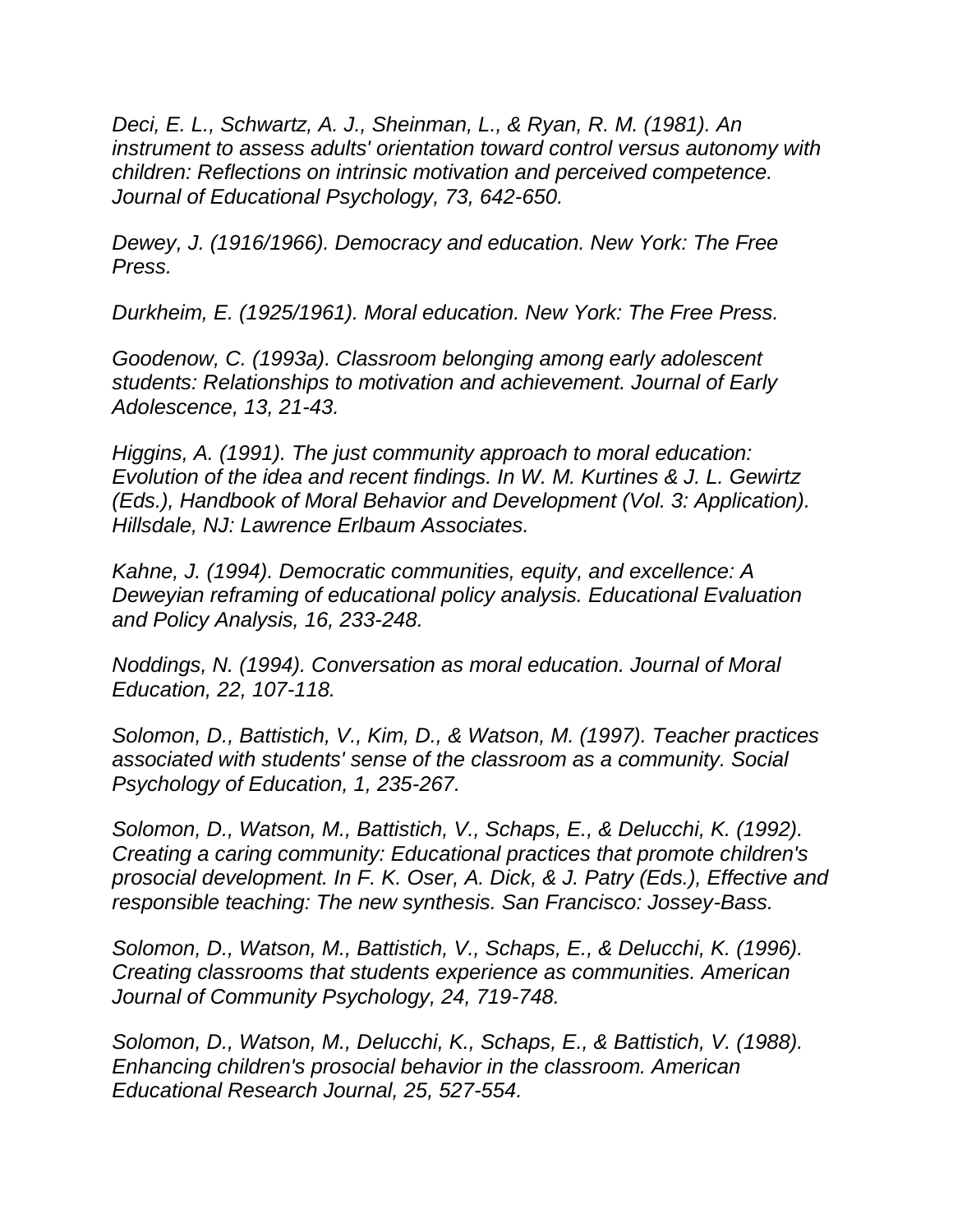*Deci, E. L., Schwartz, A. J., Sheinman, L., & Ryan, R. M. (1981). An instrument to assess adults' orientation toward control versus autonomy with children: Reflections on intrinsic motivation and perceived competence. Journal of Educational Psychology, 73, 642-650.*

*Dewey, J. (1916/1966). Democracy and education. New York: The Free Press.*

*Durkheim, E. (1925/1961). Moral education. New York: The Free Press.*

*Goodenow, C. (1993a). Classroom belonging among early adolescent students: Relationships to motivation and achievement. Journal of Early Adolescence, 13, 21-43.*

*Higgins, A. (1991). The just community approach to moral education: Evolution of the idea and recent findings. In W. M. Kurtines & J. L. Gewirtz (Eds.), Handbook of Moral Behavior and Development (Vol. 3: Application). Hillsdale, NJ: Lawrence Erlbaum Associates.*

*Kahne, J. (1994). Democratic communities, equity, and excellence: A Deweyian reframing of educational policy analysis. Educational Evaluation and Policy Analysis, 16, 233-248.*

*Noddings, N. (1994). Conversation as moral education. Journal of Moral Education, 22, 107-118.*

*Solomon, D., Battistich, V., Kim, D., & Watson, M. (1997). Teacher practices associated with students' sense of the classroom as a community. Social Psychology of Education, 1, 235-267.*

*Solomon, D., Watson, M., Battistich, V., Schaps, E., & Delucchi, K. (1992). Creating a caring community: Educational practices that promote children's prosocial development. In F. K. Oser, A. Dick, & J. Patry (Eds.), Effective and responsible teaching: The new synthesis. San Francisco: Jossey-Bass.*

*Solomon, D., Watson, M., Battistich, V., Schaps, E., & Delucchi, K. (1996). Creating classrooms that students experience as communities. American Journal of Community Psychology, 24, 719-748.*

*Solomon, D., Watson, M., Delucchi, K., Schaps, E., & Battistich, V. (1988). Enhancing children's prosocial behavior in the classroom. American Educational Research Journal, 25, 527-554.*